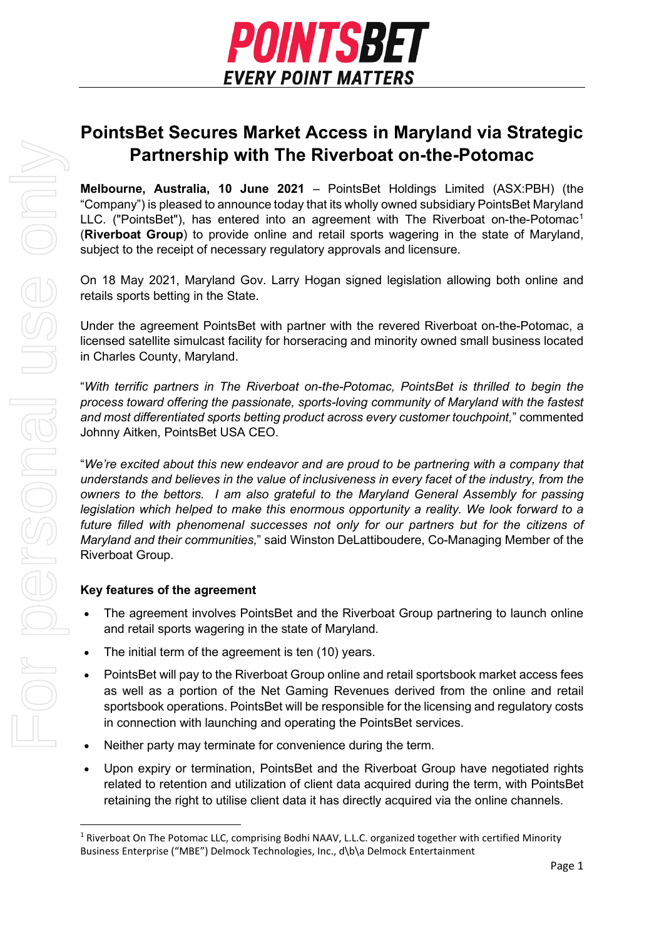

# **PointsBet Secures Market Access in Maryland via Strategic Partnership with The Riverboat on-the-Potomac**

**Melbourne, Australia, 10 June 2021** – PointsBet Holdings Limited (ASX:PBH) (the "Company") is pleased to announce today that its wholly owned subsidiary PointsBet Maryland LLC. ("PointsBet"), has entered into an agreement with The Riverboat on-the-Potomac<sup>1</sup> (**Riverboat Group**) to provide online and retail sports wagering in the state of Maryland, subject to the receipt of necessary regulatory approvals and licensure.

On 18 May 2021, Maryland Gov. Larry Hogan signed legislation allowing both online and retails sports betting in the State.

Under the agreement PointsBet with partner with the revered Riverboat on-the-Potomac, a licensed satellite simulcast facility for horseracing and minority owned small business located in Charles County, Maryland.

"*With terrific partners in The Riverboat on-the-Potomac, PointsBet is thrilled to begin the process toward offering the passionate, sports-loving community of Maryland with the fastest and most differentiated sports betting product across every customer touchpoint,*" commented Johnny Aitken, PointsBet USA CEO.

"*We're excited about this new endeavor and are proud to be partnering with a company that understands and believes in the value of inclusiveness in every facet of the industry, from the owners to the bettors. I am also grateful to the Maryland General Assembly for passing legislation which helped to make this enormous opportunity a reality. We look forward to a future filled with phenomenal successes not only for our partners but for the citizens of Maryland and their communities,*" said Winston DeLattiboudere, Co-Managing Member of the Riverboat Group.

# **Key features of the agreement**

- The agreement involves PointsBet and the Riverboat Group partnering to launch online and retail sports wagering in the state of Maryland.
- The initial term of the agreement is ten (10) years.
- PointsBet will pay to the Riverboat Group online and retail sportsbook market access fees as well as a portion of the Net Gaming Revenues derived from the online and retail sportsbook operations. PointsBet will be responsible for the licensing and regulatory costs in connection with launching and operating the PointsBet services.
- Neither party may terminate for convenience during the term.
- Upon expiry or termination, PointsBet and the Riverboat Group have negotiated rights related to retention and utilization of client data acquired during the term, with PointsBet retaining the right to utilise client data it has directly acquired via the online channels.

<span id="page-0-0"></span><sup>1</sup> Riverboat On The Potomac LLC, comprising Bodhi NAAV, L.L.C. organized together with certified Minority Business Enterprise ("MBE") Delmock Technologies, Inc., d\b\a Delmock Entertainment